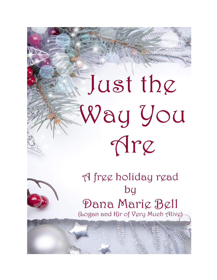# Just the Way You Mre



A free holiday read  $bg$ Dana Mariç Bell (Logan and Kir of Very Much Alive)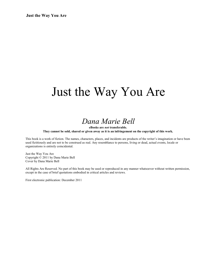## Just the Way You Are

## *Dana Marie Bell*

**eBooks are** *not* **transferable.**

**They cannot be sold, shared or given away as it is an infringement on the copyright of this work.**

This book is a work of fiction. The names, characters, places, and incidents are products of the writer's imagination or have been used fictitiously and are not to be construed as real. Any resemblance to persons, living or dead, actual events, locale or organizations is entirely coincidental.

Just the Way You Are Copyright © 2011 by Dana Marie Bell Cover by Dana Marie Bell

All Rights Are Reserved. No part of this book may be used or reproduced in any manner whatsoever without written permission, except in the case of brief quotations embodied in critical articles and reviews.

First electronic publication: December 2011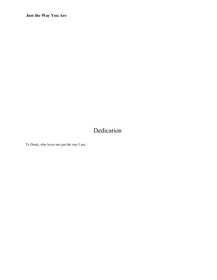## Dedication

To Dusty, who loves me just the way I am.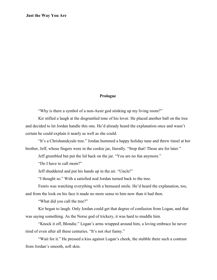#### **Prologue**

"Why is there a symbol of a non-Aesir god stinking up my living room?"

Kir stifled a laugh at the disgruntled tone of his lover. He placed another ball on the tree and decided to let Jordan handle this one. He'd already heard the explanation once and wasn't certain he could explain it nearly as well as she could.

"It's a Chrishanukyule tree." Jordan hummed a happy holiday tune and threw tinsel at her brother, Jeff, whose fingers were in the cookie jar, literally. "Stop that! Those are for later."

Jeff grumbled but put the lid back on the jar. "You are no fun anymore."

"Do I have to call mom?"

Jeff shuddered and put his hands up in the air. "Uncle!"

"I thought so." With a satisfied nod Jordan turned back to the tree.

Fenris was watching everything with a bemused smile. He'd heard the explanation, too,

and from the look on his face it made no more sense to him now than it had then.

"What did you call the tree?"

Kir began to laugh. Only Jordan could get that degree of confusion from Logan, and that was saying something. As the Norse god of trickery, it was hard to muddle him.

"Knock it off, Blondie." Logan's arms wrapped around him, a loving embrace he never tired of even after all these centuries. "It's not *that* funny."

"Wait for it." He pressed a kiss against Logan's cheek, the stubble there such a contrast from Jordan's smooth, soft skin.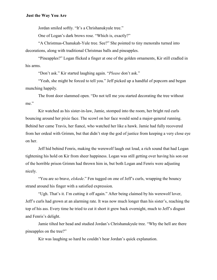Jordan smiled softly. "It's a Chrishanukyule tree."

One of Logan's dark brows rose. "Which is, exactly?"

"A Christmas-Chanukah-Yule tree. See?" She pointed to tiny menorahs turned into decorations, along with traditional Christmas balls and pineapples.

"Pineapples?" Logan flicked a finger at one of the golden ornaments, Kir still cradled in his arms.

"Don't ask." Kir started laughing again. "*Please* don't ask."

"Yeah, she might be forced to tell you." Jeff picked up a handful of popcorn and began munching happily.

The front door slammed open. "Do not tell me you started decorating the tree without me."

Kir watched as his sister-in-law, Jamie, stomped into the room, her bright red curls bouncing around her pixie face. The scowl on her face would send a major-general running. Behind her came Travis, her fiancé, who watched her like a hawk. Jamie had fully recovered from her ordeal with Grimm, but that didn't stop the god of justice from keeping a very close eye on her.

Jeff hid behind Fenris, making the werewolf laugh out loud, a rich sound that had Logan tightening his hold on Kir from sheer happiness. Logan was still getting over having his son out of the horrible prison Grimm had thrown him in, but both Logan and Fenris were adjusting nicely.

"You are so brave, *elskede*." Fen tugged on one of Jeff's curls, wrapping the bouncy strand around his finger with a satisfied expression.

"Ugh. That's it. I'm cutting it off again." After being claimed by his werewolf lover, Jeff's curls had grown at an alarming rate. It was now much longer than his sister's, reaching the top of his ass. Every time he tried to cut it short it grew back overnight, much to Jeff's disgust and Fenris's delight.

Jamie tilted her head and studied Jordan's Chrishanukyule tree. "Why the hell are there pineapples on the tree?"

Kir was laughing so hard he couldn't hear Jordan's quick explanation.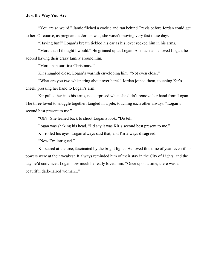"You are *so* weird." Jamie filched a cookie and ran behind Travis before Jordan could get to her. Of course, as pregnant as Jordan was, she wasn't moving very fast these days.

"Having fun?" Logan's breath tickled his ear as his lover rocked him in his arms.

"More than I thought I would." He grinned up at Logan. As much as he loved Logan, he adored having their crazy family around him.

"More than our first Christmas?"

Kir snuggled close, Logan's warmth enveloping him. "Not even close."

"What are you two whispering about over here?" Jordan joined them, touching Kir's cheek, pressing her hand to Logan's arm.

Kir pulled her into his arms, not surprised when she didn't remove her hand from Logan. The three loved to snuggle together, tangled in a pile, touching each other always. "Logan's second best present to me."

"Oh?" She leaned back to shoot Logan a look. "Do tell."

Logan was shaking his head. "I'd say it was Kir's second best present to me."

Kir rolled his eyes. Logan always said that, and Kir always disagreed.

"Now I'm intrigued."

Kir stared at the tree, fascinated by the bright lights. He loved this time of year, even if his powers were at their weakest. It always reminded him of their stay in the City of Lights, and the day he'd convinced Logan how much he really loved him. "Once upon a time, there was a beautiful dark-haired woman..."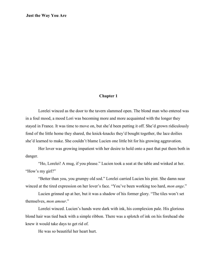#### **Chapter 1**

Lorelei winced as the door to the tavern slammed open. The blond man who entered was in a foul mood, a mood Lori was becoming more and more acquainted with the longer they stayed in France. It was time to move on, but she'd been putting it off. She'd grown ridiculously fond of the little home they shared, the knick-knacks they'd bought together, the lace doilies she'd learned to make. She couldn't blame Lucien one little bit for his growing aggravation.

Her lover was growing impatient with her desire to hold onto a past that put them both in danger.

"Ho, Lorelei! A mug, if you please." Lucien took a seat at the table and winked at her. "How's my girl?"

"Better than you, you grumpy old sod." Lorelei carried Lucien his pint. She damn near winced at the tired expression on her lover's face. "You've been working too hard, *mon ange*."

Lucien grinned up at her, but it was a shadow of his former glory. "The tiles won't set themselves, *mon amour*."

Lorelei winced. Lucien's hands were dark with ink, his complexion pale. His glorious blond hair was tied back with a simple ribbon. There was a splotch of ink on his forehead she knew it would take days to get rid of.

He was so beautiful her heart hurt.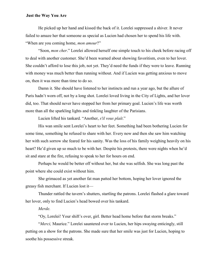He picked up her hand and kissed the back of it. Lorelei suppressed a shiver. It never failed to amaze her that someone as special as Lucien had chosen her to spend his life with. "When are you coming home, *mon amour*?"

"Soon, *mon cher*." Lorelei allowed herself one simple touch to his cheek before racing off to deal with another customer. She'd been warned about showing favoritism, even to her lover. She couldn't afford to lose this job, not yet. They'd need the funds if they were to leave. Running with money was much better than running without. And if Lucien was getting anxious to move on, then it was more than time to do so.

Damn it. She should have listened to her instincts and run a year ago, but the allure of Paris hadn't worn off, not by a long shot. Lorelei loved living in the City of Lights, and her lover did, too. That should never have stopped her from her primary goal. Lucien's life was worth more than all the sparkling lights and tinkling laughter of the Parisians.

Lucien lifted his tankard. "Another, *s'il vous plaît*."

His wan smile sent Lorelei's heart to her feet. Something had been bothering Lucien for some time, something he refused to share with her. Every now and then she saw him watching her with such sorrow she feared for his sanity. Was the loss of his family weighing heavily on his heart? He'd given up so much to be with her. Despite his protests, there were nights when he'd sit and stare at the fire, refusing to speak to her for hours on end.

Perhaps he would be better off without her, but she was selfish. She was long past the point where she could exist without him.

She grimaced as yet another fat man patted her bottom, hoping her lover ignored the greasy fish merchant. If Lucien lost it—

Thunder rattled the tavern's shutters, startling the patrons. Lorelei flashed a glare toward her lover, only to find Lucien's head bowed over his tankard.

#### *Merde.*

"Oy, Lorelei! Your shift's over, girl. Better head home before that storm breaks."

"*Merci,* Maurice." Lorelei sauntered over to Lucien, her hips swaying enticingly, still putting on a show for the patrons. She made sure that her smile was just for Lucien, hoping to soothe his possessive streak.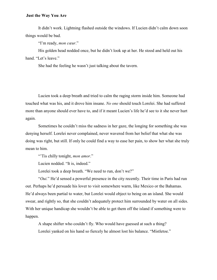It didn't work. Lightning flashed outside the windows. If Lucien didn't calm down soon things would be bad.

"I'm ready, *mon cœur*."

His golden head nodded once, but he didn't look up at her. He stood and held out his hand. "Let's leave."

She had the feeling he wasn't just talking about the tavern.

Lucien took a deep breath and tried to calm the raging storm inside him. Someone had touched what was his, and it drove him insane. *No one* should touch Lorelei. She had suffered more than anyone should ever have to, and if it meant Lucien's life he'd see to it she never hurt again.

Sometimes he couldn't miss the sadness in her gaze, the longing for something she was denying herself. Lorelei never complained, never wavered from her belief that what she was doing was right, but still. If only he could find a way to ease her pain, to show her what she truly mean to him.

"'Tis chilly tonight, *mon amor*."

Lucien nodded. "It is, indeed."

Lorelei took a deep breath. "We need to run, don't we?"

"*Oui.*" He'd sensed a powerful presence in the city recently. Their time in Paris had run out. Perhaps he'd persuade his lover to visit somewhere warm, like Mexico or the Bahamas. He'd always been partial to water, but Lorelei would object to being on an island. She would swear, and rightly so, that she couldn't adequately protect him surrounded by water on all sides. With her unique handicap she wouldn't be able to get them off the island if something were to happen.

A shape shifter who couldn't fly. Who would have guessed at such a thing?

Lorelei yanked on his hand so fiercely he almost lost his balance. "Mistletoe."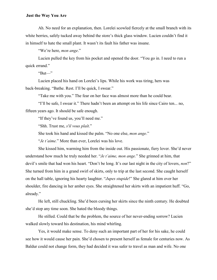Ah. No need for an explanation, then. Lorelei scowled fiercely at the small branch with its white berries, safely tucked away behind the store's thick glass window. Lucien couldn't find it in himself to hate the small plant. It wasn't its fault his father was insane.

"We're here, *mon ange*."

Lucien pulled the key from his pocket and opened the door. "You go in. I need to run a quick errand."

" $But$ "

Lucien placed his hand on Lorelei's lips. While his work was tiring, hers was back-breaking. "Bathe. Rest. I'll be quick, I swear."

"Take me with you." The fear on her face was almost more than he could bear.

"I'll be safe, I swear it." There hadn't been an attempt on his life since Cairo ten... no, fifteen years ago. It should be safe enough.

"If they've found us, you'll need me."

"Shh. Trust me, *s'il vous plaît*."

She took his hand and kissed the palm. "No one else, *mon ange*."

"*Je t'aime.*" More than ever, Lorelei was his love.

She kissed him, warming him from the inside out. His passionate, fiery lover. She'd never understand how much he truly needed her. "*Je t'aime, mon ange.*" She grinned at him, that devil's smile that had won his heart. "Don't be long. It's our last night in the city of lovers, *non*?" She turned from him in a grand swirl of skirts, only to trip at the last second. She caught herself on the hall table, ignoring his hearty laughter. "*Jupes stupide*!" She glared at him over her shoulder, fire dancing in her amber eyes. She straightened her skirts with an impatient huff. "Go, already."

He left, still chuckling. She'd been cursing her skirts since the ninth century. He doubted she'd stop any time soon. She hated the bloody things.

He stilled. Could that be the problem, the source of her never-ending sorrow? Lucien walked slowly toward his destination, his mind whirling.

Yes, it would make sense. To deny such an important part of her for his sake, he could see how it would cause her pain. She'd chosen to present herself as female for centuries now. As Baldur could not change form, they had decided it was safer to travel as man and wife. No one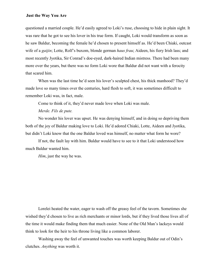questioned a married couple. He'd easily agreed to Loki's ruse, choosing to hide in plain sight. It was rare that he got to see his lover in his true form. If caught, Loki would transform as soon as he saw Baldur, becoming the female he'd chosen to present himself as. He'd been Chiaki, outcast wife of a *gaijin*; Lotte, Rolf's buxom, blonde german *haus frau*; Aideen, his fiery Irish lass; and most recently Jyotika, Sir Conrad's doe-eyed, dark-haired Indian mistress. There had been many more over the years, but there was no form Loki wore that Baldur did not want with a ferocity that scared him.

When was the last time he'd seen his lover's sculpted chest, his thick manhood? They'd made love so many times over the centuries, hard flesh to soft, it was sometimes difficult to remember Loki was, in fact, male.

Come to think of it, they'd never made love when Loki was male.

#### *Merde. Fils de pute.*

No wonder his lover was upset. He was denying himself, and in doing so depriving them both of the joy of Baldur making love to Loki. He'd adored Chiaki, Lotte, Aideen and Jyotika, but didn't Loki know that the one Baldur loved was himself, no matter what form he wore?

If not, the fault lay with him. Baldur would have to see to it that Loki understood how much Baldur wanted him.

*Him*, just the way he was.

Lorelei heated the water, eager to wash off the greasy feel of the tavern. Sometimes she wished they'd chosen to live as rich merchants or minor lords, but if they lived those lives all of the time it would make finding them that much easier. None of the Old Man's lackeys would think to look for the heir to his throne living like a common laborer.

Washing away the feel of unwanted touches was worth keeping Baldur out of Odin's clutches. *Anything* was worth it.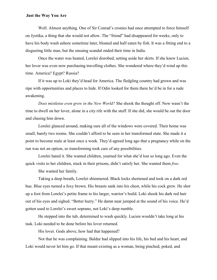Well. Almost anything. One of Sir Conrad's cronies had once attempted to force himself on Jyotika, a thing that she would not allow. The "friend" had disappeared for weeks, only to have his body wash ashore sometime later, bloated and half eaten by fish. It was a fitting end to a disgusting little man, but the ensuing scandal ended their time in India.

Once the water was heated, Lorelei disrobed, setting aside her skirts. If she knew Lucien, her lover was even now purchasing travelling clothes. She wondered where they'd wind up this time. America? Egypt? Russia?

If it was up to Loki they'd head for America. The fledgling country had grown and was ripe with opportunities and places to hide. If Odin looked for them there he'd be in for a rude awakening.

*Does mistletoe even grow in the New World?* She shook the thought off. Now wasn't the time to dwell on her lover, alone in a city rife with the stuff. If she did, she would be out the door and chasing him down.

Lorelei glanced around, making sure all of the windows were covered. Their home was small, barely two rooms. She couldn't afford to be seen in her transformed state. She made it a point to become male at least once a week. They'd agreed long ago that a pregnancy while on the run was not an option, so transforming took care of any possibilities.

Lorelei hated it. She wanted children, yearned for what she'd lost so long ago. Even the quick visits to her children, stuck in their prisons, didn't satisfy her. She wanted them *free*.

She wanted her family.

Taking a deep breath, Lorelei shimmered. Black locks shortened and took on a dark red hue. Blue eyes turned a foxy brown. His breasts sank into his chest, while his cock grew. He shot up a foot from Lorelei's petite frame to his larger, warrior's build. Loki shook his dark red hair out of his eyes and sighed. "Better hurry." He damn near jumped at the sound of his voice. He'd gotten used to Lorelei's sweet soprano, not Loki's deep rumble.

He stepped into the tub, determined to wash quickly. Lucien wouldn't take long at his task. Loki needed to be done before his lover returned.

His lover. Gods above, how had that happened?

Not that he was complaining. Baldur had slipped into his life, his bed and his heart, and Loki would never let him go. If that meant existing as a woman, being pinched, poked, and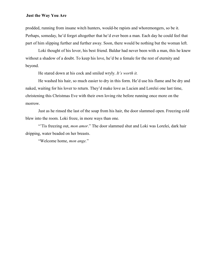prodded, running from insane witch hunters, would-be rapists and whoremongers, so be it. Perhaps, someday, he'd forget altogether that he'd ever been a man. Each day he could feel that part of him slipping further and further away. Soon, there would be nothing but the woman left.

Loki thought of his lover, his best friend. Baldur had never been with a man, this he knew without a shadow of a doubt. To keep his love, he'd be a female for the rest of eternity and beyond.

He stared down at his cock and smiled wryly. *It's worth it.*

He washed his hair, so much easier to dry in this form. He'd use his flame and be dry and naked, waiting for his lover to return. They'd make love as Lucien and Lorelei one last time, christening this Christmas Eve with their own loving rite before running once more on the morrow.

Just as he rinsed the last of the soap from his hair, the door slammed open. Freezing cold blew into the room. Loki froze, in more ways than one.

"Tis freezing out, *mon amor*." The door slammed shut and Loki was Lorelei, dark hair dripping, water beaded on her breasts.

"Welcome home, *mon ange.*"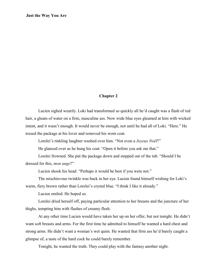#### **Chapter 2**

Lucien sighed wearily. Loki had transformed so quickly all he'd caught was a flash of red hair, a gleam of water on a firm, masculine ass. Now wide blue eyes gleamed at him with wicked intent, and it wasn't enough. It would never be enough, not until he had all of Loki. "Here." He tossed the package at his lover and removed his worn coat.

Lorelei's tinkling laughter washed over him. "Not even a *Joyeux Noël*?"

He glanced over as he hung his coat. "Open it before you ask me that."

Lorelei frowned. She put the package down and stepped out of the tub. "Should I be dressed for this, *mon ange*?"

Lucien shook his head. "Perhaps it would be best if you were not."

The mischievous twinkle was back in her eye. Lucien found himself wishing for Loki's warm, fiery brown rather than Lorelei's crystal blue. "I think I like it already."

Lucien smiled. He hoped so.

Lorelei dried herself off, paying particular attention to her breasts and the juncture of her thighs, tempting him with flashes of creamy flesh.

At any other time Lucien would have taken her up on her offer, but not tonight. He didn't want soft breasts and arms. For the first time he admitted to himself he wanted a hard chest and strong arms. He didn't want a woman's wet quim. He wanted that firm ass he'd barely caught a glimpse of, a taste of the hard cock he could barely remember.

Tonight, he wanted the truth. They could play with the fantasy another night.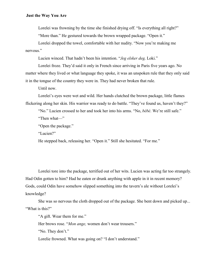Lorelei was frowning by the time she finished drying off. "Is everything all right?"

"More than." He gestured towards the brown wrapped package. "Open it."

Lorelei dropped the towel, comfortable with her nudity. "Now you're making me nervous."

Lucien winced. That hadn't been his intention. "*Jeg elsker deg,* Loki."

Lorelei froze. They'd said it only in French since arriving in Paris five years ago. No matter where they lived or what language they spoke, it was an unspoken rule that they only said it in the tongue of the country they were in. They had never broken that rule.

Until now.

Lorelei's eyes were wet and wild. Her hands clutched the brown package, little flames flickering along her skin. His warrior was ready to do battle. "They've found us, haven't they?"

"No." Lucien crossed to her and took her into his arms. "No, *bébé*. We're still safe."

"Then what—"

"Open the package."

"Lucien?"

He stepped back, releasing her. "Open it." Still she hesitated. "For me."

Lorelei tore into the package, terrified out of her wits. Lucien was acting far too strangely. Had Odin gotten to him? Had he eaten or drunk anything with apple in it in recent memory? Gods, could Odin have somehow slipped something into the tavern's ale without Lorelei's knowledge?

She was so nervous the cloth dropped out of the package. She bent down and picked up... "What is this?"

"A gift. Wear them for me."

Her brows rose. "*Mon ange,* women don't wear trousers."

"No. They don't."

Lorelie frowned. What was going on? "I don't understand."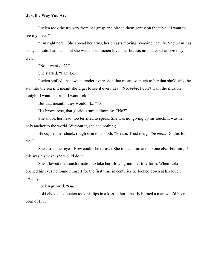Lucien took the trousers from her grasp and placed them gently on the table. "I want to see my lover."

"I'm right here." She spread her arms, her breasts moving, swaying heavily. She wasn't as busty as Lotte had been, but she was close. Lucien loved her breasts no matter what size they were.

"No. I want *Loki*."

She started. "I am Loki."

Lucien smiled, that sweet, tender expression that meant so much to her that she'd sink the sun into the sea if it meant she'd get to see it every day. "No, *bébé*. I don't want the illusion tonight. I want the truth. I want Loki."

But that meant... they wouldn't... "No."

His brows rose, that glorious smile dimming. "No?"

She shook her head, too terrified to speak. She was not giving up his touch. It was her only anchor to the world. Without it, she had nothing.

He cupped her cheek, rough skin to smooth. "Please. Trust me, *petite amie*. Do this for me."

She closed her eyes. How could she refuse? She trusted him and no one else. For him, if this was his wish, she would do it.

She allowed the transformation to take her, flowing into her true form. When Loki opened his eyes he found himself for the first time in centuries he looked down at his lover. "Happy?"

Lucien grinned. "*Oui.*"

Loki choked as Lucien took his lips in a kiss so hot it nearly burned a man who'd been born of fire.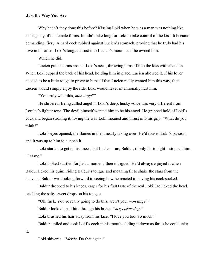Why hadn't they done this before? Kissing Loki when he was a man was nothing like kissing any of his female forms. It didn't take long for Loki to take control of the kiss. It became demanding, fiery. A hard cock rubbed against Lucien's stomach, proving that he truly had his love in his arms. Loki's tongue thrust into Lucien's mouth as if he owned him.

Which he did.

Lucien put his arms around Loki's neck, throwing himself into the kiss with abandon. When Loki cupped the back of his head, holding him in place, Lucien allowed it. If his lover needed to be a little rough to prove to himself that Lucien really wanted him this way, then Lucien would simply enjoy the ride. Loki would never intentionally hurt him.

"You truly want this, *mon ange?*"

He shivered. Being called angel in Loki's deep, husky voice was very different from Lorelei's lighter tone. The devil himself wanted him to be his angel. He grabbed hold of Loki's cock and began stroking it, loving the way Loki moaned and thrust into his grip. "What do you think?"

Loki's eyes opened, the flames in them nearly taking over. He'd roused Loki's passion, and it was up to him to quench it.

Loki started to get to his knees, but Lucien—no, Baldur, if only for tonight—stopped him. "Let me."

Loki looked startled for just a moment, then intrigued. He'd always enjoyed it when Baldur licked his quim, riding Baldur's tongue and moaning fit to shake the stars from the heavens. Baldur was looking forward to seeing how he reacted to having his cock sucked.

Baldur dropped to his knees, eager for his first taste of the real Loki. He licked the head, catching the salty-sweet drops on his tongue.

"Oh, fuck. You're really going to do this, aren't you, *mon ange?*"

Baldur looked up at him through his lashes. "*Jeg elsker deg*."

Loki brushed his hair away from his face. "I love you too. So much."

Baldur smiled and took Loki's cock in his mouth, sliding it down as far as he could take

it.

Loki shivered. "*Merde*. Do that again."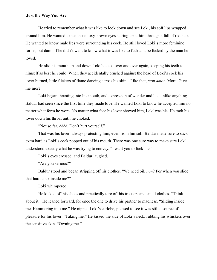He tried to remember what it was like to look down and see Loki, his soft lips wrapped around him. He wanted to see those foxy-brown eyes staring up at him through a fall of red hair. He wanted to know male lips were surrounding his cock. He still loved Loki's more feminine forms, but damn if he didn't want to know what it was like to fuck and be fucked by the man he loved.

He slid his mouth up and down Loki's cock, over and over again, keeping his teeth to himself as best he could. When they accidentally brushed against the head of Loki's cock his lover burned, little flickers of flame dancing across his skin. "Like that, *mon amor*. More. Give me more."

Loki began thrusting into his mouth, and expression of wonder and lust unlike anything Baldur had seen since the first time they made love. He wanted Loki to know he accepted him no matter what form he wore. No matter what face his lover showed him, Loki was his. He took his lover down his throat until he choked.

"Not so far, *bébé*. Don't hurt yourself."

That was his lover, always protecting him, even from himself. Baldur made sure to suck extra hard as Loki's cock popped out of his mouth. There was one sure way to make sure Loki understood exactly what he was trying to convey. "I want you to fuck me."

Loki's eyes crossed, and Baldur laughed.

"Are you serious?"

Baldur stood and began stripping off his clothes. "We need oil, *non*? For when you slide that hard cock inside me?"

Loki whimpered.

He kicked off his shoes and practically tore off his trousers and small clothes. "Think about it." He leaned forward, for once the one to drive his partner to madness. "Sliding inside me. Hammering into me." He nipped Loki's earlobe, pleased to see it was still a source of pleasure for his lover. "Taking me." He kissed the side of Loki's neck, rubbing his whiskers over the sensitive skin. "Owning me."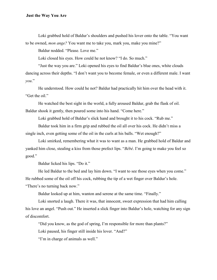Loki grabbed hold of Baldur's shoulders and pushed his lover onto the table. "You want to be owned, *mon ange?* You want me to take you, mark you, make you mine?"

Baldur nodded. "Please. Love me."

Loki closed his eyes. How could he not know? "I do. So much."

"Just the way you are." Loki opened his eyes to find Baldur's blue ones, white clouds dancing across their depths. "I don't want you to become female, or even a different male. I want *you*."

He understood. How could he not? Baldur had practically hit him over the head with it. "Get the oil."

He watched the best sight in the world, a fully aroused Baldur, grab the flask of oil. Baldur shook it gently, then poured some into his hand. "Come here."

Loki grabbed hold of Baldur's slick hand and brought it to his cock. "Rub me."

Baldur took him in a firm grip and rubbed the oil all over his cock. He didn't miss a single inch, even getting some of the oil in the curls at his balls. "Wet enough?"

Loki smirked, remembering what it was to want as a man. He grabbed hold of Baldur and yanked him close, stealing a kiss from those prefect lips. "*Bébé*. I'm going to make you feel so good."

Baldur licked his lips. "Do it."

He led Baldur to the bed and lay him down. "I want to see those eyes when you come." He rubbed some of the oil off his cock, rubbing the tip of a wet finger over Baldur's hole. "There's no turning back now."

Baldur looked up at him, wanton and serene at the same time. "Finally."

Loki snorted a laugh. There it was, that innocent, sweet expression that had him calling his love an angel. "Push out." He inserted a slick finger into Baldur's hole, watching for any sign of discomfort.

"Did you know, as the god of spring, I'm responsible for more than plants?"

Loki paused, his finger still inside his lover. "And?"

"I'm in charge of animals as well."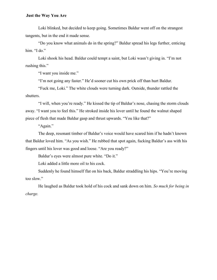Loki blinked, but decided to keep going. Sometimes Baldur went off on the strangest tangents, but in the end it made sense.

"Do you know what animals do in the spring?" Baldur spread his legs further, enticing him. "I do."

Loki shook his head. Baldur could tempt a saint, but Loki wasn't giving in. "I'm not rushing this."

"I want you inside me."

"I'm not going any faster." He'd sooner cut his own prick off than hurt Baldur.

"Fuck me, Loki." The white clouds were turning dark. Outside, thunder rattled the shutters.

"I will, when you're ready." He kissed the tip of Baldur's nose, chasing the storm clouds away. "I want you to feel this." He stroked inside his lover until he found the walnut shaped piece of flesh that made Baldur gasp and thrust upwards. "You like that?"

"Again."

The deep, resonant timber of Baldur's voice would have scared him if he hadn't known that Baldur loved him. "As you wish." He rubbed that spot again, fucking Baldur's ass with his fingers until his lover was good and loose. "Are you ready?"

Baldur's eyes were almost pure white. "Do it."

Loki added a little more oil to his cock.

Suddenly he found himself flat on his back, Baldur straddling his hips. "You're moving too slow."

He laughed as Baldur took hold of his cock and sank down on him. *So much for being in charge.*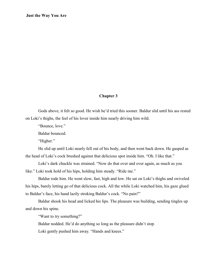#### **Chapter 3**

Gods above, it felt so good. He wish he'd tried this sooner. Baldur slid until his ass rested on Loki's thighs, the feel of his lover inside him nearly driving him wild.

"Bounce, love."

Baldur bounced.

"Higher."

He slid up until Loki nearly fell out of his body, and then went back down. He gasped as the head of Loki's cock brushed against that delicious spot inside him. "Oh. I like that."

Loki's dark chuckle was strained. "Now do that over and over again, as much as you like." Loki took hold of his hips, holding him steady. "Ride me."

Baldur rode him. He went slow, fast, high and low. He sat on Loki's thighs and swiveled his hips, barely letting go of that delicious cock. All the while Loki watched him, his gaze glued to Baldur's face, his hand lazily stroking Baldur's cock. "No pain?"

Baldur shook his head and licked his lips. The pleasure was building, sending tingles up and down his spine.

"Want to try something?"

Baldur nodded. He'd do anything so long as the pleasure didn't stop.

Loki gently pushed him away. "Hands and knees."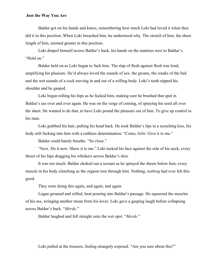Baldur got on his hands and knees, remembering how much Loki had loved it when they did it in this position. When Loki breached him, he understood why. The stretch of him, the sheer length of him, seemed greater in this position.

Loki draped himself across Baldur's back, his hands on the mattress next to Baldur's. "Hold on."

Baldur held on as Loki began to fuck him. The slap of flesh against flesh was loud, amplifying his pleasure. He'd always loved the sounds of sex, the groans, the creaks of the bed and the wet sounds of a cock moving in and out of a willing body. Loki's teeth nipped his shoulder and he gasped.

Loki began rolling his hips as he fucked him, making sure he brushed that spot in Baldur's ass over and over again. He was on the verge of coming, of spraying his seed all over the sheet. He wanted to do that, to have Loki pound the pleasure out of him. To give up control to his man.

Loki grabbed his hair, pulling his head back. He took Baldur's lips in a scorching kiss, his body still fucking into him with a ruthless determination. "Come, *bébé*. Give it to me."

Baldur could barely breathe. "So close."

"Now. Do it now. Show it to me." Loki tucked his face against the side of his neck, every thrust of his hips dragging his whiskers across Baldur's skin.

It was too much. Baldur choked out a scream as he sprayed the sheets below him, every muscle in his body clenching as the orgasm tore through him. Nothing, *nothing* had ever felt this good.

They were doing this again, and again, and again.

Logan groaned and stilled, heat pouring into Baldur's passage. He squeezed the muscles of his ass, wringing another moan from his lover. Loki gave a gasping laugh before collapsing across Baldur's back. "*Merde*."

Baldur laughed and fell straight onto the wet spot. "*Merde.*"

Loki pulled at the trousers, feeling strangely exposed. "Are you sure about this?"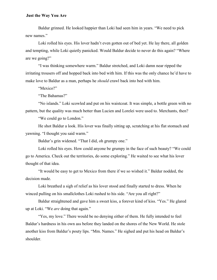Baldur grinned. He looked happier than Loki had seen him in years. "We need to pick new names."

Loki rolled his eyes. His lover hadn't even gotten out of bed yet. He lay there, all golden and tempting, while Loki quietly panicked. Would Baldur decide to never do this again? "Where are we going?"

"I was thinking somewhere warm." Baldur stretched, and Loki damn near ripped the irritating trousers off and hopped back into bed with him. If this was the only chance he'd have to make love to Baldur as a man, perhaps he *should* crawl back into bed with him.

"Mexico?"

"The Bahamas?"

"No islands." Loki scowled and put on his waistcoat. It was simple, a bottle green with no pattern, but the quality was much better than Lucien and Lorelei were used to. Merchants, then?

"We could go to London."

He shot Baldur a look. His lover was finally sitting up, scratching at his flat stomach and yawning. "I thought you said warm."

Baldur's grin widened. "That I did, oh grumpy one."

Loki rolled his eyes. How could anyone be grumpy in the face of such beauty? "We could go to America. Check out the territories, do some exploring." He waited to see what his lover thought of that idea.

"It would be easy to get to Mexico from there if we so wished it." Baldur nodded, the decision made.

Loki breathed a sigh of relief as his lover stood and finally started to dress. When he winced pulling on his smallclothes Loki rushed to his side. "Are you all right?"

Baldur straightened and gave him a sweet kiss, a forever kind of kiss. "Yes." He glared up at Loki. "We *are* doing that again."

"Yes, my love." There would be no denying either of them. He fully intended to feel Baldur's hardness in his own ass before they landed on the shores of the New World. He stole another kiss from Baldur's pouty lips. "Mm. Names." He sighed and put his head on Baldur's shoulder.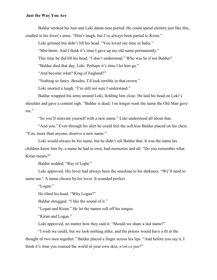Baldur stroked his hair and Loki damn near purred. He could spend eternity just like this, cradled in his lover's arms. "Don't laugh, but I've always been partial to Kiran."

Loki grinned but didn't lift his head. "You loved our time in India."

"Mm-hmm. And I think it's time I gave up my old name permanently."

This time he did lift his head. "I don't understand." Who was he if not Baldur?

"Baldur died that day, Loki. Perhaps it's time I let him go."

"And become what? King of England?"

"Nothing so fancy. Besides, I'd look terrible in that crown."

Loki snorted a laugh. "I'm still not sure I understand."

Baldur wrapped his arms around Loki, holding him close. He laid his head on Loki's shoulder and gave a content sigh. "Baldur is dead. I no longer want the name the Old Man gave me."

"So you'll reinvent yourself with a new name." Loki understood all about that.

"And you." Even through his shirt he could feel the soft kiss Baldur placed on his chest. "You, more than anyone, deserve a new name."

Loki would always be his name, but he didn't tell Baldur that. It was the name his children knew him by, a name he had to own, bad memories and all. "Do you remember what Kiran means?"

Baldur nodded. "Ray of Light."

Loki approved. His lover had always been the sunshine to his darkness. "We'll need to name me." A name chosen by his lover. It sounded perfect.

"Logan."

He tilted his head. "Why Logan?"

Baldur shrugged. "I like the sound of it."

"Logan and Kiran." He let the names roll off his tongue.

"Kiran and Logan."

Loki approved, no matter how they said it. "Should we share a last name?"

"I wish we could, but we look nothing alike, and the priests would have a fit at the thought of two men together." Baldur placed a finger across his lips. "And before you say it, I think it's time you roamed the world in your own skin, *n'est-ce pas*?"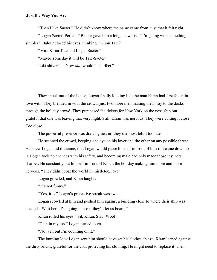"Then I like Saeter." He didn't know where the name came from, just that it felt right.

"Logan Saeter. Perfect." Baldur gave him a long, slow kiss. "I'm going with something simpler." Baldur closed his eyes, thinking. "Kiran Tate?"

"Mm. Kiran Tate and Logan Saeter."

"Maybe someday it will be Tate-Saeter."

Loki shivered. "Now *that* would be perfect."

They snuck out of the house, Logan finally looking like the man Kiran had first fallen in love with. They blended in with the crowd, just two more men making their way to the docks through the holiday crowd. They purchased the tickets for New York on the next ship out, grateful that one was leaving that very night. Still, Kiran was nervous. They were cutting it close. Too close.

The powerful presence was drawing nearer; they'd almost left it too late.

He scanned the crowd, keeping one eye on his lover and the other on any possible threat. He knew Logan did the same, that Logan would place himself in front of him if it came down to it. Logan took no chances with his safety, and becoming male had only made those instincts sharper. He constantly put himself in front of Kiran, the holiday making him more and more nervous. "They didn't coat the world in mistletoe, love."

Logan growled, and Kiran laughed.

"It's not funny."

"Yes, it is." Logan's protective streak was sweet.

Logan scowled at him and pushed him against a building close to where their ship was docked. "Wait here. I'm going to see if they'll let us board."

Kiran rolled his eyes. "Sit, Kiran. Stay. Woof."

"Pain in my ass." Logan turned to go.

"Not yet, but I'm counting on it."

The burning look Logan sent him should have set his clothes ablaze. Kiran leaned against the dirty bricks, grateful for the coat protecting his clothing. He might need to replace it when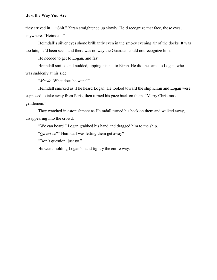they arrived in— "Shit." Kiran straightened up slowly. He'd recognize that face, those eyes, anywhere. "Heimdall."

Heimdall's silver eyes shone brilliantly even in the smoky evening air of the docks. It was too late; he'd been seen, and there was no way the Guardian could not recognize him.

He needed to get to Logan, and fast.

Heimdall smiled and nodded, tipping his hat to Kiran. He did the same to Logan, who was suddenly at his side.

"*Merde*. What does he want?"

Heimdall smirked as if he heard Logan. He looked toward the ship Kiran and Logan were supposed to take away from Paris, then turned his gaze back on them. "Merry Christmas, gentlemen."

They watched in astonishment as Heimdall turned his back on them and walked away, disappearing into the crowd.

"We can board." Logan grabbed his hand and dragged him to the ship.

"*Qu'est-ce*?" Heimdall was letting them get away?

"Don't question, just go."

He went, holding Logan's hand tightly the entire way.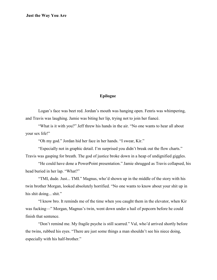#### **Epilogue**

Logan's face was beet red. Jordan's mouth was hanging open. Fenris was whimpering, and Travis was laughing. Jamie was biting her lip, trying not to join her fiancé.

"What is it with you?" Jeff threw his hands in the air. "No one wants to hear all about your sex life!"

"Oh my god." Jordan hid her face in her hands. "I swear, Kir."

"Especially not in graphic detail. I'm surprised you didn't break out the flow charts." Travis was gasping for breath. The god of justice broke down in a heap of undignified giggles.

"He could have done a PowerPoint presentation." Jamie shrugged as Travis collapsed, his head buried in her lap. "What?"

"TMI, dude. Just... TMI." Magnus, who'd shown up in the middle of the story with his twin brother Morgan, looked absolutely horrified. "No one wants to know about your shit up in his shit doing... shit."

"I know bro. It reminds me of the time when you caught them in the elevator, when Kir was fucking—" Morgan, Magnus's twin, went down under a hail of popcorn before he could finish that sentence.

"Don't remind me. My fragile psyche is still scarred." Val, who'd arrived shortly before the twins, rubbed his eyes. "There are just some things a man shouldn't see his niece doing, especially with his half-brother."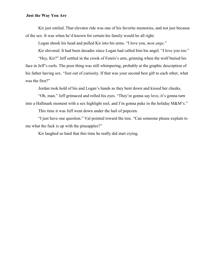Kir just smiled. That elevator ride was one of his favorite memories, and not just because of the sex. It was when he'd known for certain his family would be all right.

Logan shook his head and pulled Kir into his arms. "I love you, *mon ange*."

Kir shivered. It had been decades since Logan had called him his angel. "I love you too."

"Hey, Kir?" Jeff settled in the crook of Fenris's arm, grinning when the wolf buried his face in Jeff's curls. The poor thing was still whimpering, probably at the graphic description of his father having sex. "Just out of curiosity. If that was your second best gift to each other, what was the first?"

Jordan took hold of his and Logan's hands as they bent down and kissed her cheeks.

"Oh, man." Jeff grimaced and rolled his eyes. "They're gonna say love, it's gonna turn into a Hallmark moment with a sex highlight reel, and I'm gonna puke in the holiday M&M's."

This time it was Jeff went down under the hail of popcorn.

"I just have one question." Val pointed toward the tree. "Can someone please explain to me what the fuck is up with the pineapples?"

Kir laughed so hard that this time he really did start crying.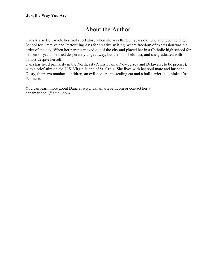## About the Author

Dana Marie Bell wrote her first short story when she was thirteen years old. She attended the High School for Creative and Performing Arts for creative writing, where freedom of expression was the order of the day. When her parents moved out of the city and placed her in a Catholic high school for her senior year, she tried desperately to get away, but the nuns held fast, and she graduated with honors despite herself.

Dana has lived primarily in the Northeast (Pennsylvania, New Jersey and Delaware, to be precise), with a brief stint on the U.S. Virgin Island of St. Croix. She lives with her soul mate and husband Dusty, their two maniacal children, an evil, ice-cream stealing cat and a bull terrier that thinks it's a Pekinese.

You can learn more about Dana at www.danamariebell.com or contact her at danamariebell@gmail.com.